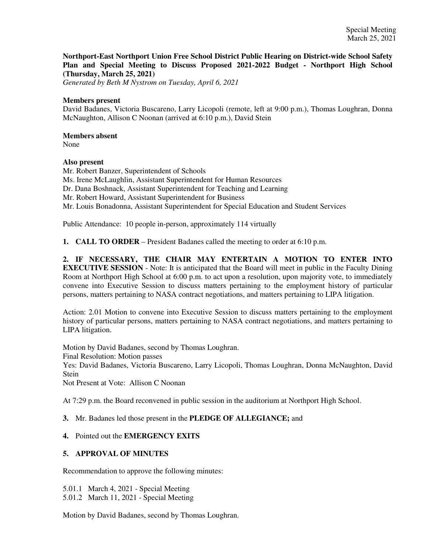**Northport-East Northport Union Free School District Public Hearing on District-wide School Safety Plan and Special Meeting to Discuss Proposed 2021-2022 Budget - Northport High School (Thursday, March 25, 2021)**

*Generated by Beth M Nystrom on Tuesday, April 6, 2021*

#### **Members present**

David Badanes, Victoria Buscareno, Larry Licopoli (remote, left at 9:00 p.m.), Thomas Loughran, Donna McNaughton, Allison C Noonan (arrived at 6:10 p.m.), David Stein

#### **Members absent**

None

#### **Also present**

Mr. Robert Banzer, Superintendent of Schools Ms. Irene McLaughlin, Assistant Superintendent for Human Resources Dr. Dana Boshnack, Assistant Superintendent for Teaching and Learning Mr. Robert Howard, Assistant Superintendent for Business Mr. Louis Bonadonna, Assistant Superintendent for Special Education and Student Services

Public Attendance: 10 people in-person, approximately 114 virtually

**1. CALL TO ORDER** – President Badanes called the meeting to order at 6:10 p.m.

**2. IF NECESSARY, THE CHAIR MAY ENTERTAIN A MOTION TO ENTER INTO EXECUTIVE SESSION** - Note: It is anticipated that the Board will meet in public in the Faculty Dining Room at Northport High School at 6:00 p.m. to act upon a resolution, upon majority vote, to immediately convene into Executive Session to discuss matters pertaining to the employment history of particular persons, matters pertaining to NASA contract negotiations, and matters pertaining to LIPA litigation.

Action: 2.01 Motion to convene into Executive Session to discuss matters pertaining to the employment history of particular persons, matters pertaining to NASA contract negotiations, and matters pertaining to LIPA litigation.

Motion by David Badanes, second by Thomas Loughran. Final Resolution: Motion passes Yes: David Badanes, Victoria Buscareno, Larry Licopoli, Thomas Loughran, Donna McNaughton, David **Stein** Not Present at Vote: Allison C Noonan

At 7:29 p.m. the Board reconvened in public session in the auditorium at Northport High School.

### **3.** Mr. Badanes led those present in the **PLEDGE OF ALLEGIANCE;** and

### **4.** Pointed out the **EMERGENCY EXITS**

### **5. APPROVAL OF MINUTES**

Recommendation to approve the following minutes:

5.01.1 March 4, 2021 - Special Meeting 5.01.2 March 11, 2021 - Special Meeting

Motion by David Badanes, second by Thomas Loughran.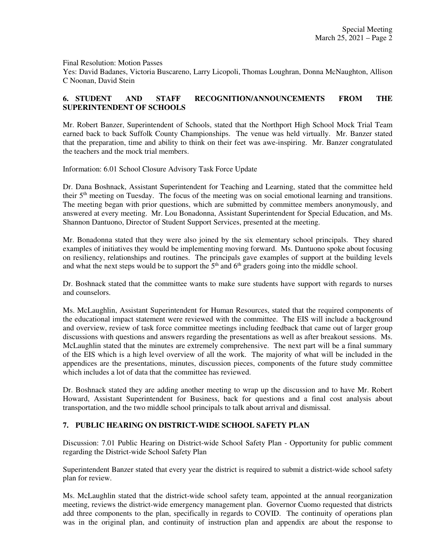Final Resolution: Motion Passes

Yes: David Badanes, Victoria Buscareno, Larry Licopoli, Thomas Loughran, Donna McNaughton, Allison C Noonan, David Stein

### **6. STUDENT AND STAFF RECOGNITION/ANNOUNCEMENTS FROM THE SUPERINTENDENT OF SCHOOLS**

Mr. Robert Banzer, Superintendent of Schools, stated that the Northport High School Mock Trial Team earned back to back Suffolk County Championships. The venue was held virtually. Mr. Banzer stated that the preparation, time and ability to think on their feet was awe-inspiring. Mr. Banzer congratulated the teachers and the mock trial members.

Information: 6.01 School Closure Advisory Task Force Update

Dr. Dana Boshnack, Assistant Superintendent for Teaching and Learning, stated that the committee held their 5th meeting on Tuesday. The focus of the meeting was on social emotional learning and transitions. The meeting began with prior questions, which are submitted by committee members anonymously, and answered at every meeting. Mr. Lou Bonadonna, Assistant Superintendent for Special Education, and Ms. Shannon Dantuono, Director of Student Support Services, presented at the meeting.

Mr. Bonadonna stated that they were also joined by the six elementary school principals. They shared examples of initiatives they would be implementing moving forward. Ms. Dantuono spoke about focusing on resiliency, relationships and routines. The principals gave examples of support at the building levels and what the next steps would be to support the  $5<sup>th</sup>$  and  $6<sup>th</sup>$  graders going into the middle school.

Dr. Boshnack stated that the committee wants to make sure students have support with regards to nurses and counselors.

Ms. McLaughlin, Assistant Superintendent for Human Resources, stated that the required components of the educational impact statement were reviewed with the committee. The EIS will include a background and overview, review of task force committee meetings including feedback that came out of larger group discussions with questions and answers regarding the presentations as well as after breakout sessions. Ms. McLaughlin stated that the minutes are extremely comprehensive. The next part will be a final summary of the EIS which is a high level overview of all the work. The majority of what will be included in the appendices are the presentations, minutes, discussion pieces, components of the future study committee which includes a lot of data that the committee has reviewed.

Dr. Boshnack stated they are adding another meeting to wrap up the discussion and to have Mr. Robert Howard, Assistant Superintendent for Business, back for questions and a final cost analysis about transportation, and the two middle school principals to talk about arrival and dismissal.

### **7. PUBLIC HEARING ON DISTRICT-WIDE SCHOOL SAFETY PLAN**

Discussion: 7.01 Public Hearing on District-wide School Safety Plan - Opportunity for public comment regarding the District-wide School Safety Plan

Superintendent Banzer stated that every year the district is required to submit a district-wide school safety plan for review.

Ms. McLaughlin stated that the district-wide school safety team, appointed at the annual reorganization meeting, reviews the district-wide emergency management plan. Governor Cuomo requested that districts add three components to the plan, specifically in regards to COVID. The continuity of operations plan was in the original plan, and continuity of instruction plan and appendix are about the response to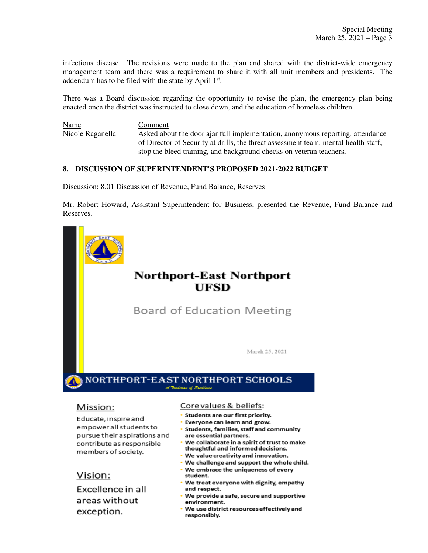infectious disease. The revisions were made to the plan and shared with the district-wide emergency management team and there was a requirement to share it with all unit members and presidents. The addendum has to be filed with the state by April  $1<sup>st</sup>$ .

There was a Board discussion regarding the opportunity to revise the plan, the emergency plan being enacted once the district was instructed to close down, and the education of homeless children.

Name Comment Nicole Raganella Asked about the door ajar full implementation, anonymous reporting, attendance of Director of Security at drills, the threat assessment team, mental health staff, stop the bleed training, and background checks on veteran teachers,

### **8. DISCUSSION OF SUPERINTENDENT'S PROPOSED 2021-2022 BUDGET**

Discussion: 8.01 Discussion of Revenue, Fund Balance, Reserves

Mr. Robert Howard, Assistant Superintendent for Business, presented the Revenue, Fund Balance and Reserves.



### Mission:

Educate, inspire and empower all students to pursue their aspirations and contribute as responsible members of society.

Vision:

Excellence in all areas without exception.

### Core values & beliefs:

- Students are our first priority.
- Everyone can learn and grow.
- · Students, families, staff and community are essential partners.
- We collaborate in a spirit of trust to make thoughtful and informed decisions.
- We value creativity and innovation.
- . We challenge and support the whole child.
- . We embrace the uniqueness of every student.
- . We treat everyone with dignity, empathy and respect.
- We provide a safe, secure and supportive environment.
- We use district resources effectively and responsibly.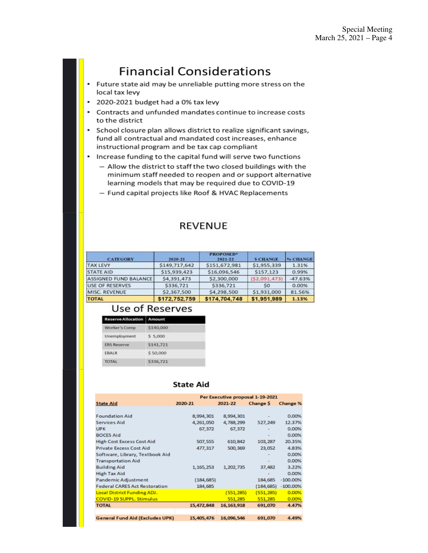# **Financial Considerations**

- Future state aid may be unreliable putting more stress on the local tax levy
- 2020-2021 budget had a 0% tax levy
- Contracts and unfunded mandates continue to increase costs ٠ to the district
- School closure plan allows district to realize significant savings,  $\bullet$ fund all contractual and mandated cost increases, enhance instructional program and be tax cap compliant
- . Increase funding to the capital fund will serve two functions
	- Allow the district to staff the two closed buildings with the minimum staff needed to reopen and or support alternative learning models that may be required due to COVID-19
	- Fund capital projects like Roof & HVAC Replacements

### **REVENUE**

| <b>CATEGORY</b>        | 2020-21       | <b>PROPOSED*</b><br>2021-22 | <b>S CHANGE</b> | <sup>4</sup> 6 CHANGE |
|------------------------|---------------|-----------------------------|-----------------|-----------------------|
| <b>TAX LEVY</b>        | \$149,717,642 | \$151,672,981               | \$1,955,339     | 1.31%                 |
| <b>STATE AID</b>       | \$15.939.423  | \$16,096,546                | \$157.123       | 0.99%                 |
| ASSIGNED FUND BALANCE  | \$4,391,473   | \$2,300,000                 | (52.091.473)    | $-47.63%$             |
| <b>USE OF RESERVES</b> | \$336,721     | \$336,721                   | S0              | 0.00%                 |
| MISC. REVENUE          | \$2,367,500   | \$4,298,500                 | \$1,931,000     | 81.56%                |
| <b>TOTAL</b>           | \$172,752,759 | \$174,704,748               | \$1,951,989     | 1.13%                 |

### Use of Reserves

| <b>Reserve Allocation</b> | Amount    |
|---------------------------|-----------|
| Worker's Comp             | \$140,000 |
| Unemployment              | \$5.000   |
| <b>ERS Reserve</b>        | \$141,721 |
| EBALR                     | \$50,000  |
| <b>TOTAL</b>              | \$336,721 |

### **State Aid**

|                                        |            |              | Per Executive proposal 1-19-2021 |            |
|----------------------------------------|------------|--------------|----------------------------------|------------|
| <b>State Aid</b>                       | 2020-21    | 2021-22      | <b>Change S</b>                  | Change %   |
|                                        |            |              |                                  |            |
| <b>Foundation Aid</b>                  | 8,994,301  | 8,994,301    |                                  | 0.00%      |
| <b>Services Aid</b>                    | 4,261,050  | 4,788,299    | 527,249                          | 12.37%     |
| <b>UPK</b>                             | 67,372     | 67,372       |                                  | 0.00%      |
| <b>BOCES Aid</b>                       |            |              |                                  | 0.00%      |
| <b>High Cost Excess Cost Aid</b>       | 507,555    | 610,842      | 103,287                          | 20.35%     |
| <b>Private Excess Cost Aid</b>         | 477,317    | 500,369      | 23,052                           | 4.83%      |
| Software, Library, Textbook Aid        |            |              |                                  | 0.00%      |
| <b>Transportation Aid</b>              |            |              |                                  | 0.00%      |
| <b>Building Aid</b>                    | 1,165,253  | 1,202,735    | 37,482                           | 3.22%      |
| High Tax Aid                           |            |              |                                  | 0.00%      |
| Pandemic Adjustment                    | (184, 685) |              | 184,685                          | $-100.00%$ |
| <b>Federal CARES Act Restoration</b>   | 184,685    |              | (184, 685)                       | $-100.00%$ |
| Local District Funding ADJ.            |            | (551, 285)   | (551, 285)                       | 0.00%      |
| <b>COVID-19 SUPPL, Stimulus</b>        |            | 551,285      | 551,285                          | 0.00%      |
| <b>TOTAL</b>                           | 15,472,848 | 16, 163, 918 | 691,070                          | 4.47%      |
|                                        |            |              |                                  |            |
| <b>General Fund Aid (Excludes UPK)</b> | 15,405,476 | 16,096,546   | 691,070                          | 4.49%      |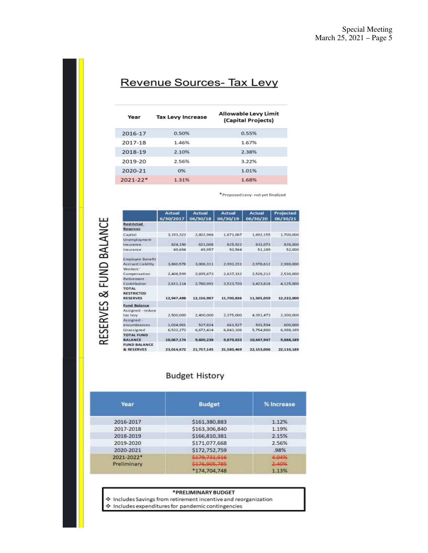## Revenue Sources- Tax Levy

| Year         | <b>Tax Levy Increase</b> | Allowable Levy Limit<br>(Capital Projects) |
|--------------|--------------------------|--------------------------------------------|
| 2016-17      | 0.50%                    | 0.55%                                      |
| 2017-18      | 1.46%                    | 1.67%                                      |
| 2018-19      | 2.10%                    | 2.38%                                      |
| 2019-20      | 2.56%                    | 3.22%                                      |
| 2020-21      | 0%                       | 1.01%                                      |
| $2021 - 22*$ | 1.31%                    | 1.68%                                      |
|              |                          |                                            |

\* Proposed Levy- not yet finalized

|                                                      | Actual<br>6/30/2017 | <b>Actual</b><br>06/30/18 | Actual<br>06/30/19 | Actual<br>06/30/20 | Projected<br>06/30/21 |
|------------------------------------------------------|---------------------|---------------------------|--------------------|--------------------|-----------------------|
| Restricted                                           |                     |                           |                    |                    |                       |
| <b>Reserves</b>                                      |                     |                           |                    |                    |                       |
| Capital                                              | 3, 193, 323         | 2,802.966                 | 1,671,067          | 1,692,155          | 1,700,000             |
| <b>Unemployment</b>                                  |                     |                           |                    |                    |                       |
| Insurance                                            | 824,190             | 821,008                   | 825.922            | 831.073            | 835,000               |
| Insurance                                            | 49,694              | 49.957                    | 50.564             | 51.189             | 52,000                |
| Employee Benefit                                     |                     |                           |                    |                    |                       |
| <b>Accrued Liability</b>                             | 3,860,578           | 3,006.311                 | 2.992.231          | 2,978,612          | 2,980,000             |
| Workers <sup>®</sup>                                 |                     |                           |                    |                    |                       |
| Compensation                                         | 2.408.599           | 2,695,673                 | 2.637.332          | 2.528.212          | 2,530,000             |
| Retirement                                           |                     |                           |                    |                    |                       |
| <b>Contribution</b>                                  | 2.611.114           | 2,780.992                 | 3.523.720          | 3.423.818          | 4.125,000             |
| <b>TOTAL</b><br><b>RESTRICTED</b><br><b>RESERVES</b> | 12,947,498          | 12,156,907                | 11.700.836         | 11,505,059         | 12.222.000            |
| <b>Fund Balance</b>                                  |                     |                           |                    |                    |                       |
| Assigned - reduce                                    |                     |                           |                    |                    |                       |
| tax levy                                             | 2,500,000           | 2,400,000                 | 2.375,000          | 4,391,473          | 2,300,000             |
| Assigned-                                            |                     |                           |                    |                    |                       |
| encumbrances                                         | 1,034,901           | 527.824                   | 661,527            | \$01,594           | 600,000               |
| Unassigned                                           | 6,532,273           | 6,672,414                 | 6.843.106          | 5.754.880          | 6,988,189             |
| <b>TOTAL FUND</b><br><b>BALANCE</b>                  | 10,067,174          | 9,600.238                 | 9.879,633          | 10.647.947         | 9,888,189             |
| <b>FUND BALANCE</b><br>& RESERVES                    | 23,014,672          | 21,757,145                | 21,580,469         | 22.153,006         | 22,110,189            |

### **Budget History**

| Year        | <b>Budget</b>  | % Increase |
|-------------|----------------|------------|
| 2016-2017   | \$161,380,883  | 1.12%      |
| 2017-2018   | \$163,306,840  | 1.19%      |
| 2018-2019   | \$166,810,381  | 2.15%      |
| 2019-2020   | \$171,077,668  | 2.56%      |
| 2020-2021   | \$172,752,759  | .98%       |
| 2021-2022*  | \$179,731,516  | 4.04%      |
| Preliminary | \$1.76,905,785 | 2.40%      |
|             | *174,704,748   | 1.13%      |

#### \*PRELIMINARY BUDGET

 $\begin{minipage}{.4\linewidth} \textbf{4} \end{minipage}$  Includes Savings from retirement incentive and reorganization  $\begin{minipage}{.4\linewidth} \textbf{5} & \textbf{6} & \textbf{7} & \textbf{8} \\ \textbf{7} & \textbf{8} & \textbf{9} & \textbf{10} \\ \textbf{10} & \textbf{11} & \textbf{12} & \textbf{10} \\ \textbf{11} & \textbf{12} & \textbf{13} & \textbf{1$ 

RESERVES & FUND BALANCE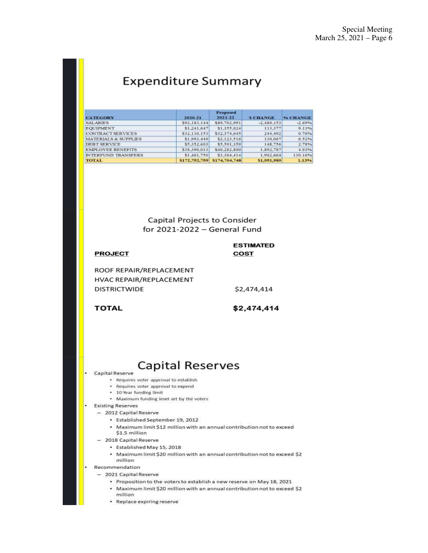# **Expenditure Summary**

| <b>CATEGORY</b>                 | 2020-21      | <b>Proposed</b><br>$2021 - 22$ | <b>SCHANGE</b> | <sup>9</sup> <sup>b</sup> CHANGE |
|---------------------------------|--------------|--------------------------------|----------------|----------------------------------|
| <b>SALARIES</b>                 | \$92,183,144 | \$89,702,991                   | $-2.480.153$   | $-2.69%$                         |
| <b>EOUIPMENT</b>                | \$1,241,647  | \$1,355,024                    | 113.377        | 9.13%                            |
| <b>CONTRACT SERVICES</b>        | \$32,130,153 | \$32,374,645                   | 244,492        | 0.76%                            |
| <b>MATERIALS &amp; SUPPLIES</b> | \$1,993,449  | \$2,123,516                    | 130,067        | 6.52%                            |
| <b>DEBT SERVICE</b>             | \$5,352,603  | \$5,501,359                    | 148,756        | 2.78%                            |
| <b>EMPLOYEE BENEFITS</b>        | \$38,390,013 | \$40,282,800                   | 1,892,787      | 4.93%                            |
| <b>INTERFUND TRANSFERS</b>      | \$1,461,750  | \$3,364,414                    | 1,902,664      | 130.16%                          |
| TOTAL                           |              | S172,752,759 \$174,704,748     | \$1,951,989    | 1.13%                            |

Capital Projects to Consider for  $2021 - 2022 - General$  Fund

| <b>PROJECT</b>          | <b>ESTIMATED</b><br>COST |
|-------------------------|--------------------------|
| ROOF REPAIR/REPLACEMENT |                          |
| HVAC REPAIR/REPLACEMENT |                          |
| <b>DISTRICTWIDE</b>     | \$2,474,414              |
|                         |                          |
| TOTAL                   | \$2,474,414              |

# **Capital Reserves**

- Capital Reserve
	- Requires voter approval to establish
	- · Requires voter approval to expend
	- 10 Year funding limit
	- Maximum funding level set by the voters
- **Existing Reserves** 
	- 2012 Capital Reserve
		- · Established September 19, 2012
		- Maximum limit \$12 million with an annual contribution not to exceed \$1.5 million
	- 2018 Capital Reserve
		- · Established May 15, 2018
		- Maximum limit \$20 million with an annual contribution not to exceed \$2 million
- Recommendation
- 2021 Capital Reserve
	- Proposition to the voters to establish a new reserve on May 18, 2021
	- Maximum limit \$20 million with an annual contribution not to exceed \$2 million
	- Replace expiring reserve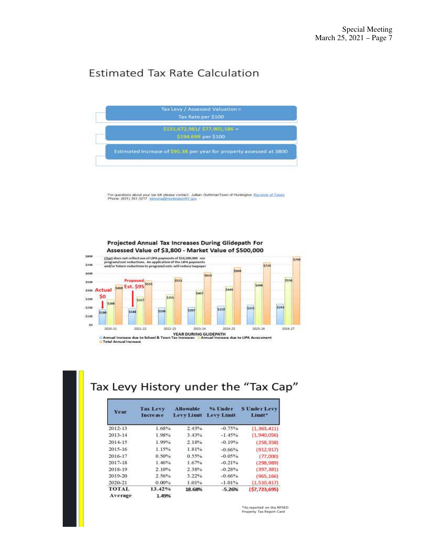### **Estimated Tax Rate Calculation**



For questions about your tax bill please contact: Julian GuthmanTown of Huntington Receiver of Taxes<br>Phone: (631) 351-3217 ebivona@HuntingtonNY.gov



### Projected Annual Tax Increases During Glidepath For

# Tax Levy History under the "Tax Cap"

| Year                    | <b>Tax Levy</b><br>Increase | <b>Allowable</b><br><b>Levy Limit</b> | % Under<br><b>Levy Limit</b> | <b>SUnderLevy</b><br>Limit* |
|-------------------------|-----------------------------|---------------------------------------|------------------------------|-----------------------------|
| 2012-13                 | 1.68%                       | 2.43%                                 | $-0.75%$                     | (1, 363, 411)               |
| 2013-14                 | 1.98%                       | 3.43%                                 | $-1.45%$                     | (1.940.056)                 |
| 2014-15                 | 1.99%                       | 2.18%                                 | $-0.19%$                     | (258, 358)                  |
| 2015-16                 | 1.15%                       | 1.81%                                 | $-0.66%$                     | (912, 917)                  |
| 2016-17                 | 0.50%                       | 0.55%                                 | $-0.05%$                     | (77,000)                    |
| 2017-18                 | 1.46%                       | 1.67%                                 | $-0.21%$                     | (298, 989)                  |
| 2018-19                 | 2.10%                       | 2.38%                                 | $-0.28%$                     | (397, 381)                  |
| 2019-20                 | 2.56%                       | 3.22%                                 | $-0.66%$                     | (965, 166)                  |
| 2020-21                 | $0.00\%$                    | 1.01%                                 | $-1.01%$                     | (1, 510, 417)               |
| <b>TOTAL</b><br>Average | 13.42%<br>1.49%             | 18.68%                                | $-5.26%$                     | (57, 723, 695)              |

"As reported on the NYSED Property Tax Report Card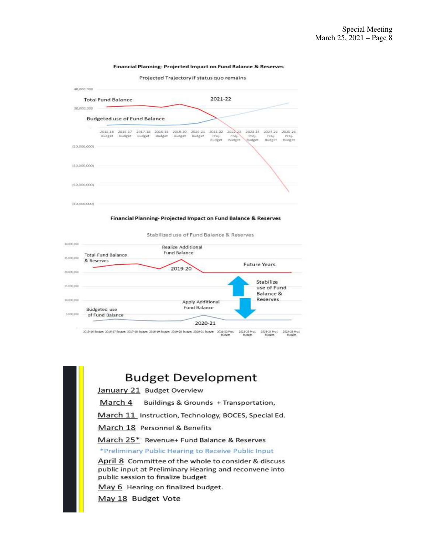#### Financial Planning- Projected Impact on Fund Balance & Reserves

Projected Trajectory if status quo remains



Financial Planning-Projected Impact on Fund Balance & Reserves

Stabilized use of Fund Balance & Reserves



2022-23 Proj. 3523-24 Proj 2024-25 Proj

### **Budget Development**

January 21 Budget Overview

March 4 Buildings & Grounds + Transportation,

March 11 Instruction, Technology, BOCES, Special Ed.

March 18 Personnel & Benefits

March 25\* Revenue+ Fund Balance & Reserves

\*Preliminary Public Hearing to Receive Public Input

April 8 Committee of the whole to consider & discuss public input at Preliminary Hearing and reconvene into public session to finalize budget

May 6 Hearing on finalized budget.

May 18 Budget Vote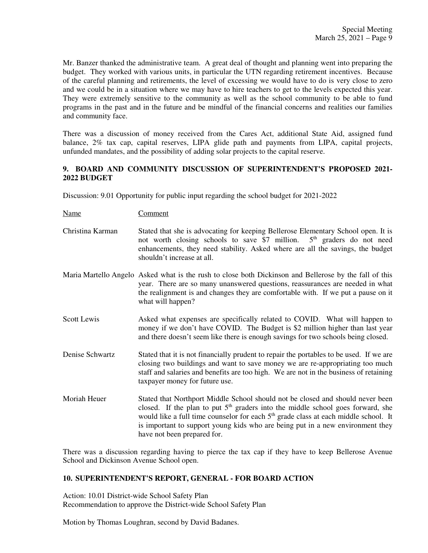Mr. Banzer thanked the administrative team. A great deal of thought and planning went into preparing the budget. They worked with various units, in particular the UTN regarding retirement incentives. Because of the careful planning and retirements, the level of excessing we would have to do is very close to zero and we could be in a situation where we may have to hire teachers to get to the levels expected this year. They were extremely sensitive to the community as well as the school community to be able to fund programs in the past and in the future and be mindful of the financial concerns and realities our families and community face.

There was a discussion of money received from the Cares Act, additional State Aid, assigned fund balance, 2% tax cap, capital reserves, LIPA glide path and payments from LIPA, capital projects, unfunded mandates, and the possibility of adding solar projects to the capital reserve.

### **9. BOARD AND COMMUNITY DISCUSSION OF SUPERINTENDENT'S PROPOSED 2021- 2022 BUDGET**

Discussion: 9.01 Opportunity for public input regarding the school budget for 2021-2022

Name Comment

- Christina Karman Stated that she is advocating for keeping Bellerose Elementary School open. It is not worth closing schools to save \$7 million. 5<sup>th</sup> graders do not need enhancements, they need stability. Asked where are all the savings, the budget shouldn't increase at all.
- Maria Martello Angelo Asked what is the rush to close both Dickinson and Bellerose by the fall of this year. There are so many unanswered questions, reassurances are needed in what the realignment is and changes they are comfortable with. If we put a pause on it what will happen?
- Scott Lewis Asked what expenses are specifically related to COVID. What will happen to money if we don't have COVID. The Budget is \$2 million higher than last year and there doesn't seem like there is enough savings for two schools being closed.
- Denise Schwartz Stated that it is not financially prudent to repair the portables to be used. If we are closing two buildings and want to save money we are re-appropriating too much staff and salaries and benefits are too high. We are not in the business of retaining taxpayer money for future use.
- Moriah Heuer Stated that Northport Middle School should not be closed and should never been closed. If the plan to put  $5<sup>th</sup>$  graders into the middle school goes forward, she would like a full time counselor for each 5<sup>th</sup> grade class at each middle school. It is important to support young kids who are being put in a new environment they have not been prepared for.

There was a discussion regarding having to pierce the tax cap if they have to keep Bellerose Avenue School and Dickinson Avenue School open.

### **10. SUPERINTENDENT'S REPORT, GENERAL - FOR BOARD ACTION**

Action: 10.01 District-wide School Safety Plan Recommendation to approve the District-wide School Safety Plan

Motion by Thomas Loughran, second by David Badanes.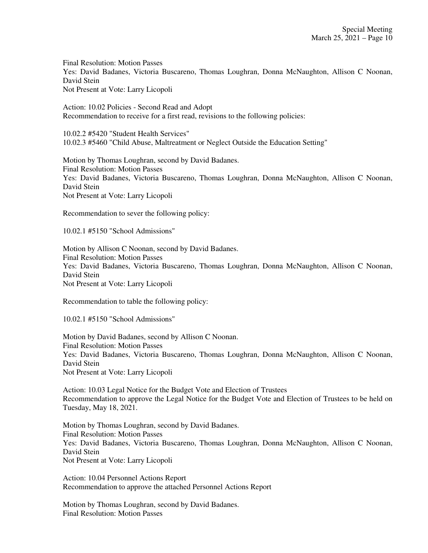Final Resolution: Motion Passes Yes: David Badanes, Victoria Buscareno, Thomas Loughran, Donna McNaughton, Allison C Noonan, David Stein Not Present at Vote: Larry Licopoli

Action: 10.02 Policies - Second Read and Adopt Recommendation to receive for a first read, revisions to the following policies:

10.02.2 #5420 "Student Health Services" 10.02.3 #5460 "Child Abuse, Maltreatment or Neglect Outside the Education Setting"

Motion by Thomas Loughran, second by David Badanes. Final Resolution: Motion Passes Yes: David Badanes, Victoria Buscareno, Thomas Loughran, Donna McNaughton, Allison C Noonan, David Stein Not Present at Vote: Larry Licopoli

Recommendation to sever the following policy:

10.02.1 #5150 "School Admissions"

Motion by Allison C Noonan, second by David Badanes. Final Resolution: Motion Passes Yes: David Badanes, Victoria Buscareno, Thomas Loughran, Donna McNaughton, Allison C Noonan, David Stein Not Present at Vote: Larry Licopoli

Recommendation to table the following policy:

10.02.1 #5150 "School Admissions"

Motion by David Badanes, second by Allison C Noonan. Final Resolution: Motion Passes Yes: David Badanes, Victoria Buscareno, Thomas Loughran, Donna McNaughton, Allison C Noonan, David Stein Not Present at Vote: Larry Licopoli

Action: 10.03 Legal Notice for the Budget Vote and Election of Trustees Recommendation to approve the Legal Notice for the Budget Vote and Election of Trustees to be held on Tuesday, May 18, 2021.

Motion by Thomas Loughran, second by David Badanes. Final Resolution: Motion Passes Yes: David Badanes, Victoria Buscareno, Thomas Loughran, Donna McNaughton, Allison C Noonan, David Stein Not Present at Vote: Larry Licopoli

Action: 10.04 Personnel Actions Report Recommendation to approve the attached Personnel Actions Report

Motion by Thomas Loughran, second by David Badanes. Final Resolution: Motion Passes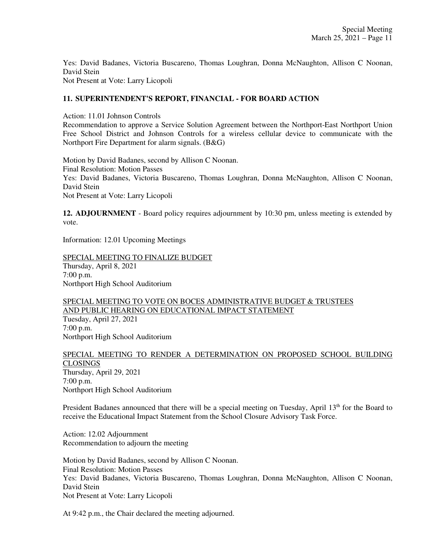Yes: David Badanes, Victoria Buscareno, Thomas Loughran, Donna McNaughton, Allison C Noonan, David Stein Not Present at Vote: Larry Licopoli

### **11. SUPERINTENDENT'S REPORT, FINANCIAL - FOR BOARD ACTION**

Action: 11.01 Johnson Controls

Recommendation to approve a Service Solution Agreement between the Northport-East Northport Union Free School District and Johnson Controls for a wireless cellular device to communicate with the Northport Fire Department for alarm signals. (B&G)

Motion by David Badanes, second by Allison C Noonan. Final Resolution: Motion Passes Yes: David Badanes, Victoria Buscareno, Thomas Loughran, Donna McNaughton, Allison C Noonan, David Stein Not Present at Vote: Larry Licopoli

**12. ADJOURNMENT** - Board policy requires adjournment by 10:30 pm, unless meeting is extended by vote.

Information: 12.01 Upcoming Meetings

SPECIAL MEETING TO FINALIZE BUDGET Thursday, April 8, 2021 7:00 p.m. Northport High School Auditorium

SPECIAL MEETING TO VOTE ON BOCES ADMINISTRATIVE BUDGET & TRUSTEES AND PUBLIC HEARING ON EDUCATIONAL IMPACT STATEMENT Tuesday, April 27, 2021 7:00 p.m. Northport High School Auditorium

SPECIAL MEETING TO RENDER A DETERMINATION ON PROPOSED SCHOOL BUILDING CLOSINGS Thursday, April 29, 2021 7:00 p.m. Northport High School Auditorium

President Badanes announced that there will be a special meeting on Tuesday, April 13<sup>th</sup> for the Board to receive the Educational Impact Statement from the School Closure Advisory Task Force.

Action: 12.02 Adjournment Recommendation to adjourn the meeting

Motion by David Badanes, second by Allison C Noonan. Final Resolution: Motion Passes Yes: David Badanes, Victoria Buscareno, Thomas Loughran, Donna McNaughton, Allison C Noonan, David Stein Not Present at Vote: Larry Licopoli

At 9:42 p.m., the Chair declared the meeting adjourned.